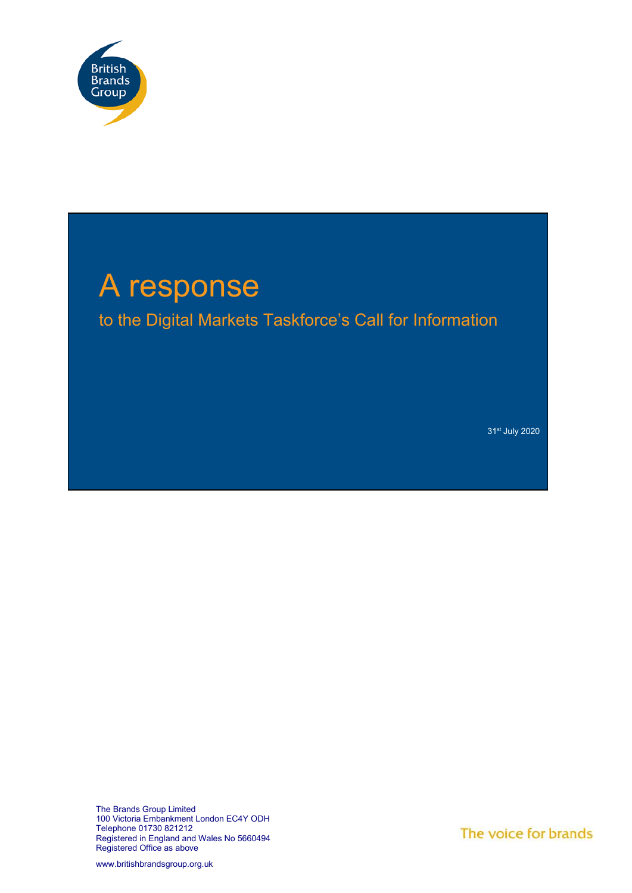

# A response to the Digital Markets Taskforce's Call for Information

31st July 2020

The Brands Group Limited 100 Victoria Embankment London EC4Y ODH Telephone 01730 821212 Registered in England and Wales No 5660494 Registered Office as above

The voice for brands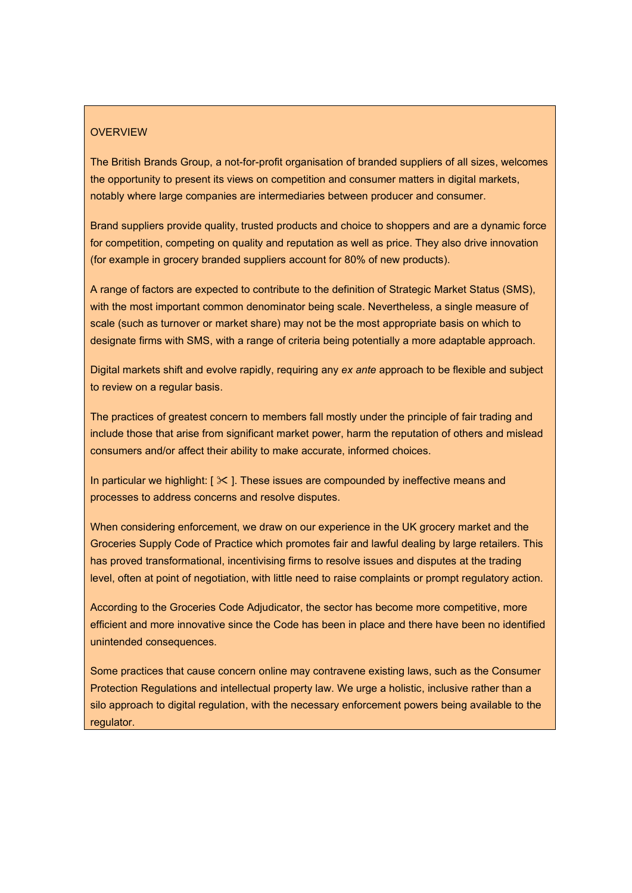# **OVERVIEW**

The British Brands Group, a not-for-profit organisation of branded suppliers of all sizes, welcomes the opportunity to present its views on competition and consumer matters in digital markets, notably where large companies are intermediaries between producer and consumer.

Brand suppliers provide quality, trusted products and choice to shoppers and are a dynamic force for competition, competing on quality and reputation as well as price. They also drive innovation (for example in grocery branded suppliers account for 80% of new products).

A range of factors are expected to contribute to the definition of Strategic Market Status (SMS), with the most important common denominator being scale. Nevertheless, a single measure of scale (such as turnover or market share) may not be the most appropriate basis on which to designate firms with SMS, with a range of criteria being potentially a more adaptable approach.

Digital markets shift and evolve rapidly, requiring any *ex ante* approach to be flexible and subject to review on a regular basis.

The practices of greatest concern to members fall mostly under the principle of fair trading and include those that arise from significant market power, harm the reputation of others and mislead consumers and/or affect their ability to make accurate, informed choices.

In particular we highlight:  $[\times]$ . These issues are compounded by ineffective means and processes to address concerns and resolve disputes.

When considering enforcement, we draw on our experience in the UK grocery market and the Groceries Supply Code of Practice which promotes fair and lawful dealing by large retailers. This has proved transformational, incentivising firms to resolve issues and disputes at the trading level, often at point of negotiation, with little need to raise complaints or prompt regulatory action.

According to the Groceries Code Adjudicator, the sector has become more competitive, more efficient and more innovative since the Code has been in place and there have been no identified unintended consequences.

Some practices that cause concern online may contravene existing laws, such as the Consumer Protection Regulations and intellectual property law. We urge a holistic, inclusive rather than a silo approach to digital regulation, with the necessary enforcement powers being available to the regulator.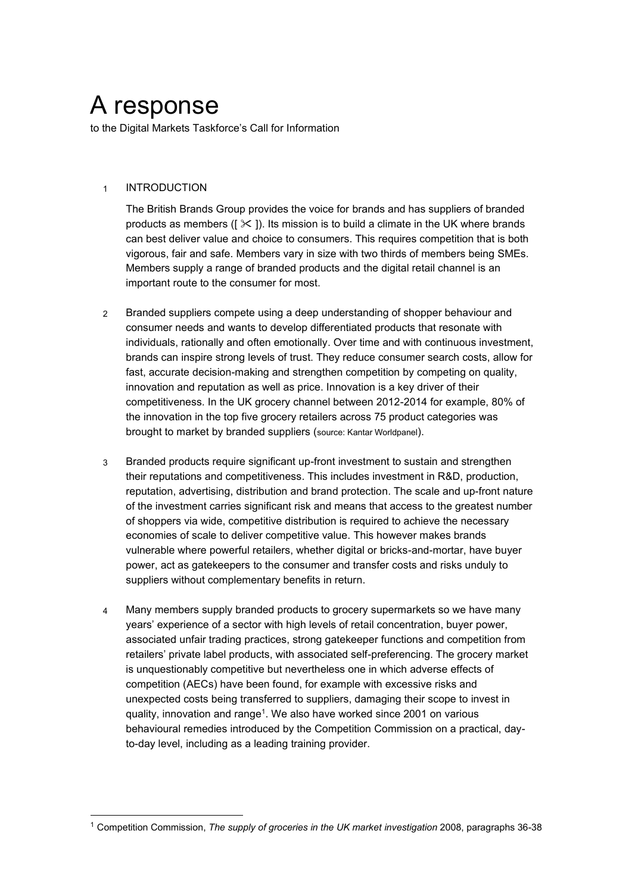# A response

to the Digital Markets Taskforce's Call for Information

# 1 INTRODUCTION

The British Brands Group provides the voice for brands and has suppliers of branded products as members ( $[\times]$ ). Its mission is to build a climate in the UK where brands can best deliver value and choice to consumers. This requires competition that is both vigorous, fair and safe. Members vary in size with two thirds of members being SMEs. Members supply a range of branded products and the digital retail channel is an important route to the consumer for most.

- 2 Branded suppliers compete using a deep understanding of shopper behaviour and consumer needs and wants to develop differentiated products that resonate with individuals, rationally and often emotionally. Over time and with continuous investment, brands can inspire strong levels of trust. They reduce consumer search costs, allow for fast, accurate decision-making and strengthen competition by competing on quality, innovation and reputation as well as price. Innovation is a key driver of their competitiveness. In the UK grocery channel between 2012-2014 for example, 80% of the innovation in the top five grocery retailers across 75 product categories was brought to market by branded suppliers (source: Kantar Worldpanel).
- 3 Branded products require significant up-front investment to sustain and strengthen their reputations and competitiveness. This includes investment in R&D, production, reputation, advertising, distribution and brand protection. The scale and up-front nature of the investment carries significant risk and means that access to the greatest number of shoppers via wide, competitive distribution is required to achieve the necessary economies of scale to deliver competitive value. This however makes brands vulnerable where powerful retailers, whether digital or bricks-and-mortar, have buyer power, act as gatekeepers to the consumer and transfer costs and risks unduly to suppliers without complementary benefits in return.
- 4 Many members supply branded products to grocery supermarkets so we have many years' experience of a sector with high levels of retail concentration, buyer power, associated unfair trading practices, strong gatekeeper functions and competition from retailers' private label products, with associated self-preferencing. The grocery market is unquestionably competitive but nevertheless one in which adverse effects of competition (AECs) have been found, for example with excessive risks and unexpected costs being transferred to suppliers, damaging their scope to invest in quality, innovation and range<sup>1</sup>. We also have worked since 2001 on various behavioural remedies introduced by the Competition Commission on a practical, dayto-day level, including as a leading training provider.

<sup>1</sup> Competition Commission, *The supply of groceries in the UK market investigation* 2008, paragraphs 36-38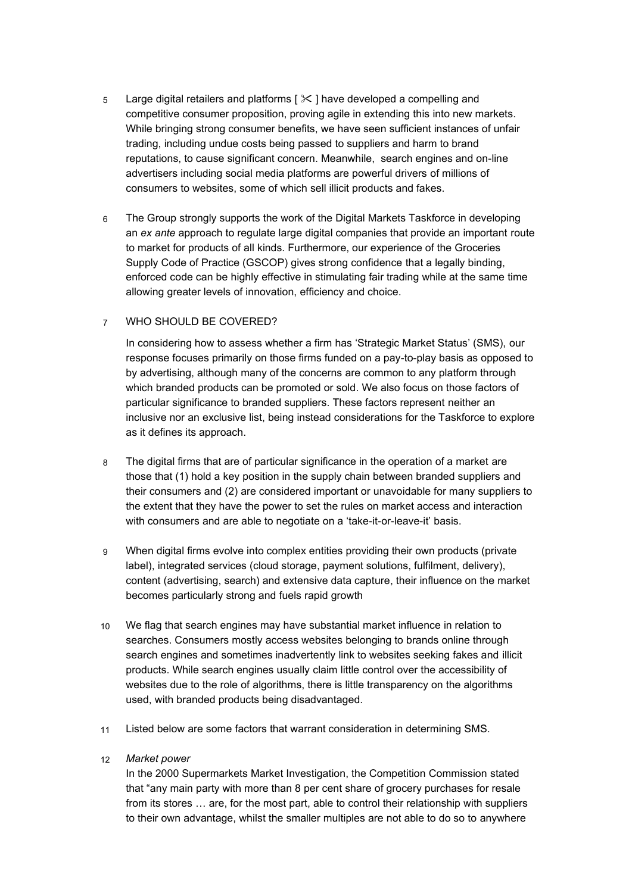- 5 Large digital retailers and platforms  $[ $\times$ ]$  have developed a compelling and competitive consumer proposition, proving agile in extending this into new markets. While bringing strong consumer benefits, we have seen sufficient instances of unfair trading, including undue costs being passed to suppliers and harm to brand reputations, to cause significant concern. Meanwhile, search engines and on-line advertisers including social media platforms are powerful drivers of millions of consumers to websites, some of which sell illicit products and fakes.
- 6 The Group strongly supports the work of the Digital Markets Taskforce in developing an *ex ante* approach to regulate large digital companies that provide an important route to market for products of all kinds. Furthermore, our experience of the Groceries Supply Code of Practice (GSCOP) gives strong confidence that a legally binding, enforced code can be highly effective in stimulating fair trading while at the same time allowing greater levels of innovation, efficiency and choice.

# 7 WHO SHOULD BE COVERED?

In considering how to assess whether a firm has 'Strategic Market Status' (SMS), our response focuses primarily on those firms funded on a pay-to-play basis as opposed to by advertising, although many of the concerns are common to any platform through which branded products can be promoted or sold. We also focus on those factors of particular significance to branded suppliers. These factors represent neither an inclusive nor an exclusive list, being instead considerations for the Taskforce to explore as it defines its approach.

- 8 The digital firms that are of particular significance in the operation of a market are those that (1) hold a key position in the supply chain between branded suppliers and their consumers and (2) are considered important or unavoidable for many suppliers to the extent that they have the power to set the rules on market access and interaction with consumers and are able to negotiate on a 'take-it-or-leave-it' basis.
- 9 When digital firms evolve into complex entities providing their own products (private label), integrated services (cloud storage, payment solutions, fulfilment, delivery), content (advertising, search) and extensive data capture, their influence on the market becomes particularly strong and fuels rapid growth
- 10 We flag that search engines may have substantial market influence in relation to searches. Consumers mostly access websites belonging to brands online through search engines and sometimes inadvertently link to websites seeking fakes and illicit products. While search engines usually claim little control over the accessibility of websites due to the role of algorithms, there is little transparency on the algorithms used, with branded products being disadvantaged.
- 11 Listed below are some factors that warrant consideration in determining SMS.

# 12 *Market power*

In the 2000 Supermarkets Market Investigation, the Competition Commission stated that "any main party with more than 8 per cent share of grocery purchases for resale from its stores … are, for the most part, able to control their relationship with suppliers to their own advantage, whilst the smaller multiples are not able to do so to anywhere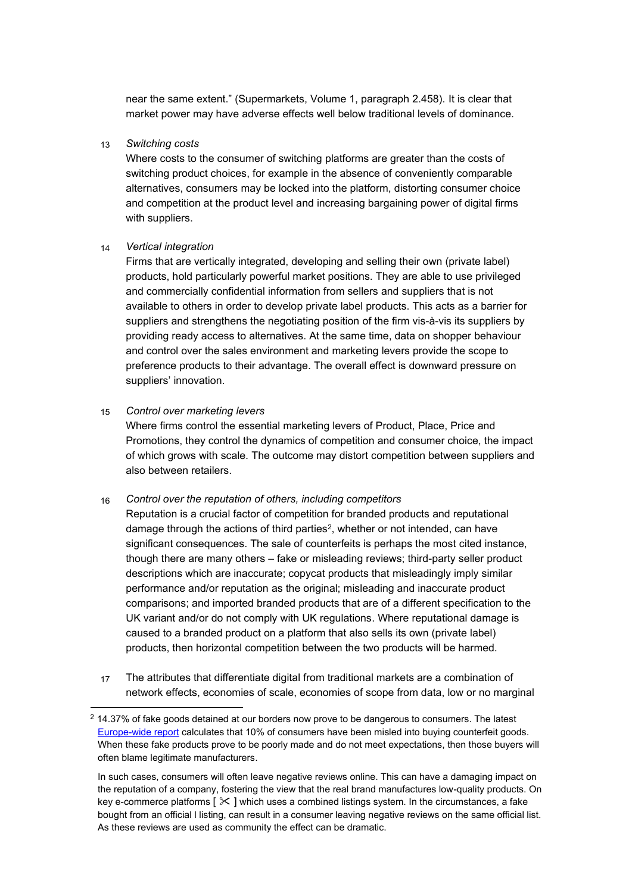near the same extent." (Supermarkets, Volume 1, paragraph 2.458). It is clear that market power may have adverse effects well below traditional levels of dominance.

#### 13 *Switching costs*

Where costs to the consumer of switching platforms are greater than the costs of switching product choices, for example in the absence of conveniently comparable alternatives, consumers may be locked into the platform, distorting consumer choice and competition at the product level and increasing bargaining power of digital firms with suppliers.

#### 14 *Vertical integration*

Firms that are vertically integrated, developing and selling their own (private label) products, hold particularly powerful market positions. They are able to use privileged and commercially confidential information from sellers and suppliers that is not available to others in order to develop private label products. This acts as a barrier for suppliers and strengthens the negotiating position of the firm vis-à-vis its suppliers by providing ready access to alternatives. At the same time, data on shopper behaviour and control over the sales environment and marketing levers provide the scope to preference products to their advantage. The overall effect is downward pressure on suppliers' innovation.

#### 15 *Control over marketing levers*

Where firms control the essential marketing levers of Product, Place, Price and Promotions, they control the dynamics of competition and consumer choice, the impact of which grows with scale. The outcome may distort competition between suppliers and also between retailers.

#### 16 *Control over the reputation of others, including competitors*

Reputation is a crucial factor of competition for branded products and reputational damage through the actions of third parties<sup>2</sup>, whether or not intended, can have significant consequences. The sale of counterfeits is perhaps the most cited instance, though there are many others – fake or misleading reviews; third-party seller product descriptions which are inaccurate; copycat products that misleadingly imply similar performance and/or reputation as the original; misleading and inaccurate product comparisons; and imported branded products that are of a different specification to the UK variant and/or do not comply with UK regulations. Where reputational damage is caused to a branded product on a platform that also sells its own (private label) products, then horizontal competition between the two products will be harmed.

17 The attributes that differentiate digital from traditional markets are a combination of network effects, economies of scale, economies of scope from data, low or no marginal

 $2$  14.37% of fake goods detained at our borders now prove to be dangerous to consumers. The latest [Europe-wide report](https://euipo.europa.eu/tunnel-web/secure/webdav/guest/document_library/observatory/documents/IPContributionStudy/2017/european_public_opinion_study_web.pdf) calculates that 10% of consumers have been misled into buying counterfeit goods. When these fake products prove to be poorly made and do not meet expectations, then those buyers will often blame legitimate manufacturers.

In such cases, consumers will often leave negative reviews online. This can have a damaging impact on the reputation of a company, fostering the view that the real brand manufactures low-quality products. On key e-commerce platforms  $[\times]$  which uses a combined listings system. In the circumstances, a fake bought from an official l listing, can result in a consumer leaving negative reviews on the same official list. As these reviews are used as community the effect can be dramatic.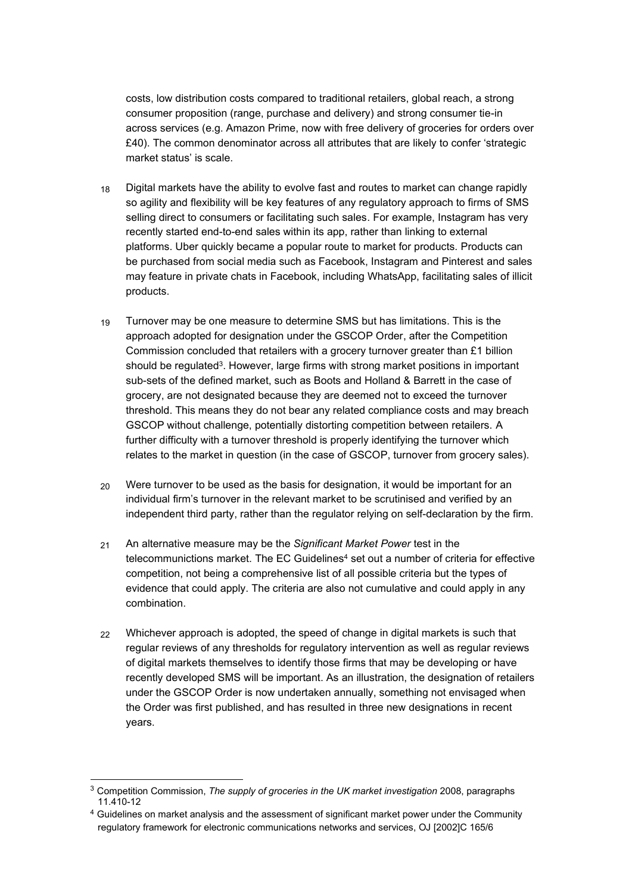costs, low distribution costs compared to traditional retailers, global reach, a strong consumer proposition (range, purchase and delivery) and strong consumer tie-in across services (e.g. Amazon Prime, now with free delivery of groceries for orders over £40). The common denominator across all attributes that are likely to confer 'strategic market status' is scale.

- 18 Digital markets have the ability to evolve fast and routes to market can change rapidly so agility and flexibility will be key features of any regulatory approach to firms of SMS selling direct to consumers or facilitating such sales. For example, Instagram has very recently started end-to-end sales within its app, rather than linking to external platforms. Uber quickly became a popular route to market for products. Products can be purchased from social media such as Facebook, Instagram and Pinterest and sales may feature in private chats in Facebook, including WhatsApp, facilitating sales of illicit products.
- 19 Turnover may be one measure to determine SMS but has limitations. This is the approach adopted for designation under the GSCOP Order, after the Competition Commission concluded that retailers with a grocery turnover greater than £1 billion should be regulated<sup>3</sup>. However, large firms with strong market positions in important sub-sets of the defined market, such as Boots and Holland & Barrett in the case of grocery, are not designated because they are deemed not to exceed the turnover threshold. This means they do not bear any related compliance costs and may breach GSCOP without challenge, potentially distorting competition between retailers. A further difficulty with a turnover threshold is properly identifying the turnover which relates to the market in question (in the case of GSCOP, turnover from grocery sales).
- 20 Were turnover to be used as the basis for designation, it would be important for an individual firm's turnover in the relevant market to be scrutinised and verified by an independent third party, rather than the regulator relying on self-declaration by the firm.
- 21 An alternative measure may be the *Significant Market Power* test in the telecommunictions market. The EC Guidelines<sup>4</sup> set out a number of criteria for effective competition, not being a comprehensive list of all possible criteria but the types of evidence that could apply. The criteria are also not cumulative and could apply in any combination.
- 22 Whichever approach is adopted, the speed of change in digital markets is such that regular reviews of any thresholds for regulatory intervention as well as regular reviews of digital markets themselves to identify those firms that may be developing or have recently developed SMS will be important. As an illustration, the designation of retailers under the GSCOP Order is now undertaken annually, something not envisaged when the Order was first published, and has resulted in three new designations in recent years.

<sup>3</sup> Competition Commission, *The supply of groceries in the UK market investigation* 2008, paragraphs 11.410-12

<sup>&</sup>lt;sup>4</sup> Guidelines on market analysis and the assessment of significant market power under the Community regulatory framework for electronic communications networks and services, OJ [2002]C 165/6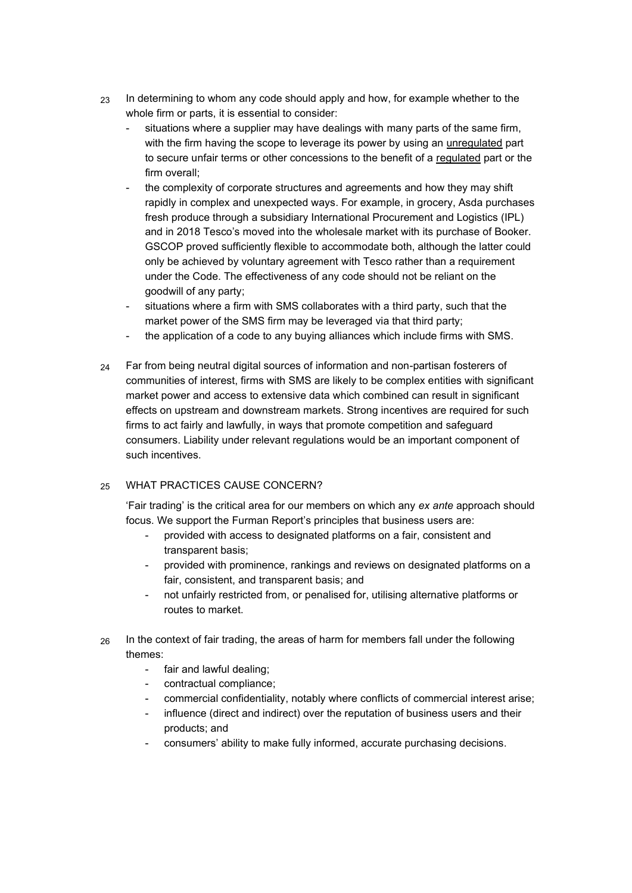- 23 In determining to whom any code should apply and how, for example whether to the whole firm or parts, it is essential to consider:
	- situations where a supplier may have dealings with many parts of the same firm, with the firm having the scope to leverage its power by using an unregulated part to secure unfair terms or other concessions to the benefit of a regulated part or the firm overall;
	- the complexity of corporate structures and agreements and how they may shift rapidly in complex and unexpected ways. For example, in grocery, Asda purchases fresh produce through a subsidiary International Procurement and Logistics (IPL) and in 2018 Tesco's moved into the wholesale market with its purchase of Booker. GSCOP proved sufficiently flexible to accommodate both, although the latter could only be achieved by voluntary agreement with Tesco rather than a requirement under the Code. The effectiveness of any code should not be reliant on the goodwill of any party;
	- situations where a firm with SMS collaborates with a third party, such that the market power of the SMS firm may be leveraged via that third party;
	- the application of a code to any buying alliances which include firms with SMS.
- 24 Far from being neutral digital sources of information and non-partisan fosterers of communities of interest, firms with SMS are likely to be complex entities with significant market power and access to extensive data which combined can result in significant effects on upstream and downstream markets. Strong incentives are required for such firms to act fairly and lawfully, in ways that promote competition and safeguard consumers. Liability under relevant regulations would be an important component of such incentives.

# 25 WHAT PRACTICES CAUSE CONCERN?

'Fair trading' is the critical area for our members on which any *ex ante* approach should focus. We support the Furman Report's principles that business users are:

- provided with access to designated platforms on a fair, consistent and transparent basis;
- provided with prominence, rankings and reviews on designated platforms on a fair, consistent, and transparent basis; and
- not unfairly restricted from, or penalised for, utilising alternative platforms or routes to market.
- $26$  In the context of fair trading, the areas of harm for members fall under the following themes:
	- fair and lawful dealing;
	- contractual compliance;
	- commercial confidentiality, notably where conflicts of commercial interest arise;
	- influence (direct and indirect) over the reputation of business users and their products; and
	- consumers' ability to make fully informed, accurate purchasing decisions.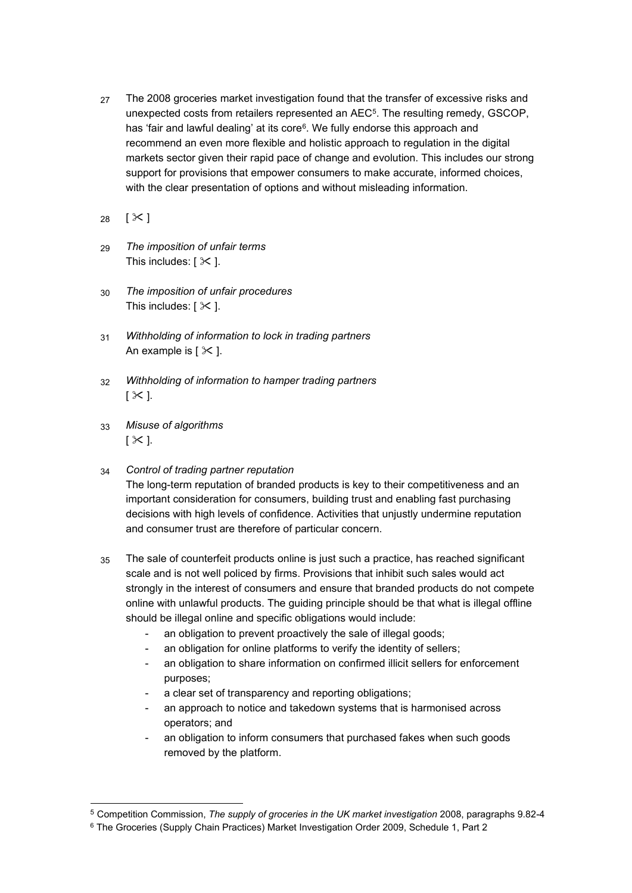- 27 The 2008 groceries market investigation found that the transfer of excessive risks and unexpected costs from retailers represented an  $\mathsf{AEC^5}.$  The resulting remedy, GSCOP, has 'fair and lawful dealing' at its core<sup>6</sup> . We fully endorse this approach and recommend an even more flexible and holistic approach to regulation in the digital markets sector given their rapid pace of change and evolution. This includes our strong support for provisions that empower consumers to make accurate, informed choices, with the clear presentation of options and without misleading information.
- 28  $[X]$
- 29 *The imposition of unfair terms* This includes:  $[ X ].$
- 30 *The imposition of unfair procedures* This includes:  $[$   $\times$   $]$ .
- 31 *Withholding of information to lock in trading partners* An example is [ $\times$ ].
- 32 *Withholding of information to hamper trading partners*  $\lceil X \rceil$ .
- 33 *Misuse of algorithms*  $\lceil \times \rceil$ .
- 34 *Control of trading partner reputation* The long-term reputation of branded products is key to their competitiveness and an important consideration for consumers, building trust and enabling fast purchasing decisions with high levels of confidence. Activities that unjustly undermine reputation and consumer trust are therefore of particular concern.
- 35 The sale of counterfeit products online is just such a practice, has reached significant scale and is not well policed by firms. Provisions that inhibit such sales would act strongly in the interest of consumers and ensure that branded products do not compete online with unlawful products. The guiding principle should be that what is illegal offline should be illegal online and specific obligations would include:
	- an obligation to prevent proactively the sale of illegal goods;
	- an obligation for online platforms to verify the identity of sellers;
	- an obligation to share information on confirmed illicit sellers for enforcement purposes;
	- a clear set of transparency and reporting obligations;
	- an approach to notice and takedown systems that is harmonised across operators; and
	- an obligation to inform consumers that purchased fakes when such goods removed by the platform.

<sup>5</sup> Competition Commission, *The supply of groceries in the UK market investigation* 2008, paragraphs 9.82-4

<sup>6</sup> The Groceries (Supply Chain Practices) Market Investigation Order 2009, Schedule 1, Part 2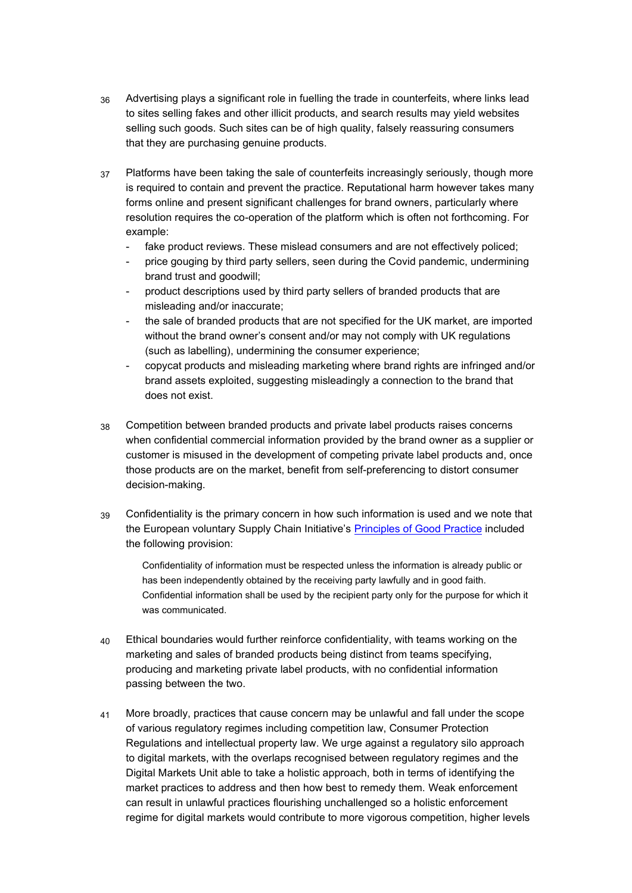- 36 Advertising plays a significant role in fuelling the trade in counterfeits, where links lead to sites selling fakes and other illicit products, and search results may yield websites selling such goods. Such sites can be of high quality, falsely reassuring consumers that they are purchasing genuine products.
- 37 Platforms have been taking the sale of counterfeits increasingly seriously, though more is required to contain and prevent the practice. Reputational harm however takes many forms online and present significant challenges for brand owners, particularly where resolution requires the co-operation of the platform which is often not forthcoming. For example:
	- fake product reviews. These mislead consumers and are not effectively policed;
	- price gouging by third party sellers, seen during the Covid pandemic, undermining brand trust and goodwill;
	- product descriptions used by third party sellers of branded products that are misleading and/or inaccurate;
	- the sale of branded products that are not specified for the UK market, are imported without the brand owner's consent and/or may not comply with UK regulations (such as labelling), undermining the consumer experience;
	- copycat products and misleading marketing where brand rights are infringed and/or brand assets exploited, suggesting misleadingly a connection to the brand that does not exist.
- 38 Competition between branded products and private label products raises concerns when confidential commercial information provided by the brand owner as a supplier or customer is misused in the development of competing private label products and, once those products are on the market, benefit from self-preferencing to distort consumer decision-making.
- 39 Confidentiality is the primary concern in how such information is used and we note that the European voluntary Supply Chain Initiative's [Principles of Good Practice](https://www.supplychaininitiative.eu/sites/default/files/b2b_principles_of_good_practice_in_the_food_supply_chain.pdf) included the following provision:

Confidentiality of information must be respected unless the information is already public or has been independently obtained by the receiving party lawfully and in good faith. Confidential information shall be used by the recipient party only for the purpose for which it was communicated.

- 40 Ethical boundaries would further reinforce confidentiality, with teams working on the marketing and sales of branded products being distinct from teams specifying, producing and marketing private label products, with no confidential information passing between the two.
- 41 More broadly, practices that cause concern may be unlawful and fall under the scope of various regulatory regimes including competition law, Consumer Protection Regulations and intellectual property law. We urge against a regulatory silo approach to digital markets, with the overlaps recognised between regulatory regimes and the Digital Markets Unit able to take a holistic approach, both in terms of identifying the market practices to address and then how best to remedy them. Weak enforcement can result in unlawful practices flourishing unchallenged so a holistic enforcement regime for digital markets would contribute to more vigorous competition, higher levels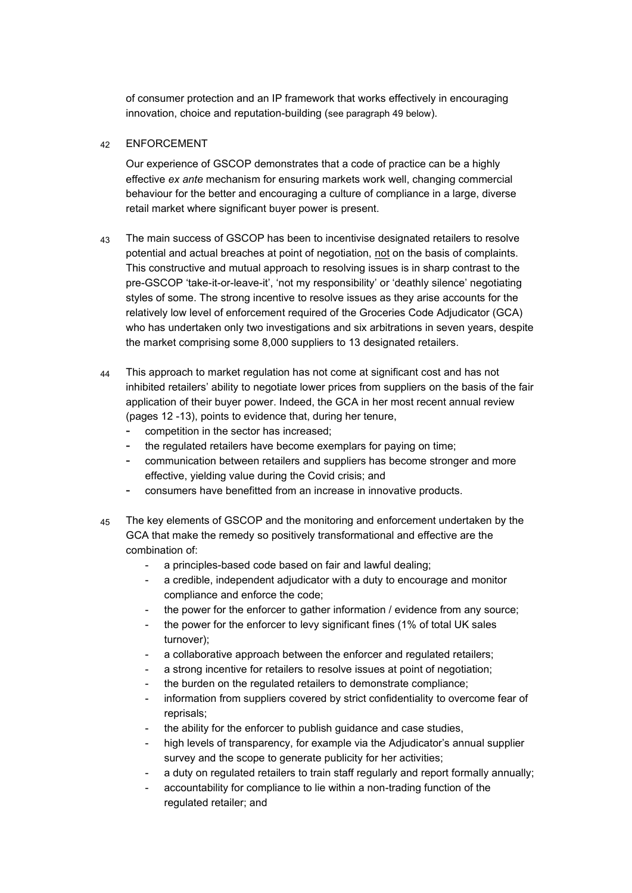of consumer protection and an IP framework that works effectively in encouraging innovation, choice and reputation-building (see paragraph 49 below).

# 42 ENFORCEMENT

Our experience of GSCOP demonstrates that a code of practice can be a highly effective *ex ante* mechanism for ensuring markets work well, changing commercial behaviour for the better and encouraging a culture of compliance in a large, diverse retail market where significant buyer power is present.

- 43 The main success of GSCOP has been to incentivise designated retailers to resolve potential and actual breaches at point of negotiation, not on the basis of complaints. This constructive and mutual approach to resolving issues is in sharp contrast to the pre-GSCOP 'take-it-or-leave-it', 'not my responsibility' or 'deathly silence' negotiating styles of some. The strong incentive to resolve issues as they arise accounts for the relatively low level of enforcement required of the Groceries Code Adjudicator (GCA) who has undertaken only two investigations and six arbitrations in seven years, despite the market comprising some 8,000 suppliers to 13 designated retailers.
- 44 This approach to market regulation has not come at significant cost and has not inhibited retailers' ability to negotiate lower prices from suppliers on the basis of the fair application of their buyer power. Indeed, the GCA in her most recent annual review (pages 12 -13), points to evidence that, during her tenure,
	- competition in the sector has increased;
	- the regulated retailers have become exemplars for paying on time;
	- communication between retailers and suppliers has become stronger and more effective, yielding value during the Covid crisis; and
	- consumers have benefitted from an increase in innovative products.
- 45 The key elements of GSCOP and the monitoring and enforcement undertaken by the GCA that make the remedy so positively transformational and effective are the combination of:
	- a principles-based code based on fair and lawful dealing;
	- a credible, independent adjudicator with a duty to encourage and monitor compliance and enforce the code;
	- the power for the enforcer to gather information / evidence from any source;
	- the power for the enforcer to levy significant fines (1% of total UK sales turnover);
	- a collaborative approach between the enforcer and regulated retailers;
	- a strong incentive for retailers to resolve issues at point of negotiation;
	- the burden on the regulated retailers to demonstrate compliance;
	- information from suppliers covered by strict confidentiality to overcome fear of reprisals;
	- the ability for the enforcer to publish guidance and case studies,
	- high levels of transparency, for example via the Adjudicator's annual supplier survey and the scope to generate publicity for her activities;
	- a duty on regulated retailers to train staff regularly and report formally annually;
	- accountability for compliance to lie within a non-trading function of the regulated retailer; and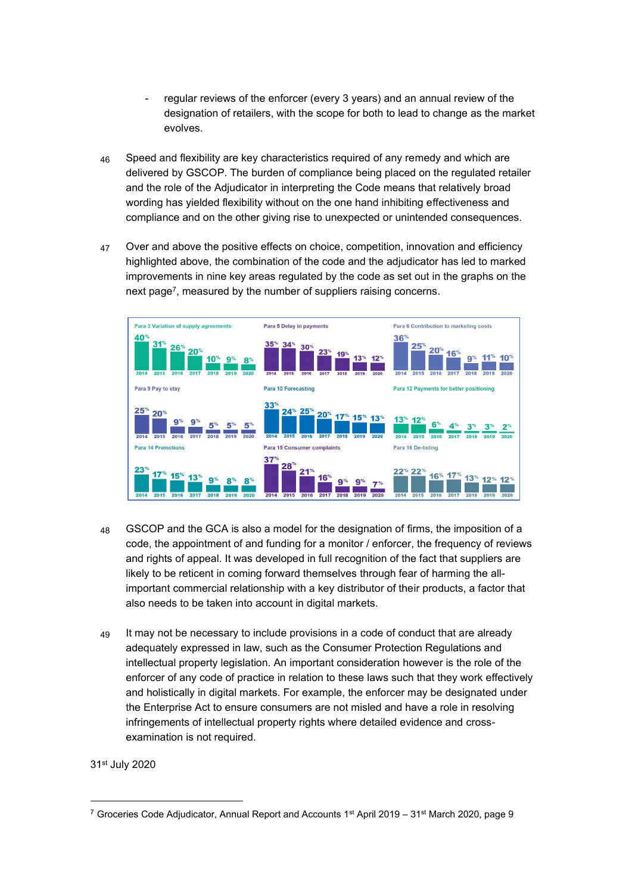- regular reviews of the enforcer (every 3 years) and an annual review of the designation of retailers, with the scope for both to lead to change as the market evolves.
- 46 Speed and flexibility are key characteristics required of any remedy and which are delivered by GSCOP. The burden of compliance being placed on the regulated retailer and the role of the Adjudicator in interpreting the Code means that relatively broad wording has yielded flexibility without on the one hand inhibiting effectiveness and compliance and on the other giving rise to unexpected or unintended consequences.
- 47 Over and above the positive effects on choice, competition, innovation and efficiency highlighted above, the combination of the code and the adjudicator has led to marked improvements in nine key areas regulated by the code as set out in the graphs on the next page<sup>7</sup> , measured by the number of suppliers raising concerns.



- 48 GSCOP and the GCA is also a model for the designation of firms, the imposition of a code, the appointment of and funding for a monitor / enforcer, the frequency of reviews and rights of appeal. It was developed in full recognition of the fact that suppliers are likely to be reticent in coming forward themselves through fear of harming the allimportant commercial relationship with a key distributor of their products, a factor that also needs to be taken into account in digital markets.
- 49 It may not be necessary to include provisions in a code of conduct that are already adequately expressed in law, such as the Consumer Protection Regulations and intellectual property legislation. An important consideration however is the role of the enforcer of any code of practice in relation to these laws such that they work effectively and holistically in digital markets. For example, the enforcer may be designated under the Enterprise Act to ensure consumers are not misled and have a role in resolving infringements of intellectual property rights where detailed evidence and crossexamination is not required.

31st July 2020

<sup>&</sup>lt;sup>7</sup> Groceries Code Adjudicator, Annual Report and Accounts 1<sup>st</sup> April 2019 – 31<sup>st</sup> March 2020, page 9